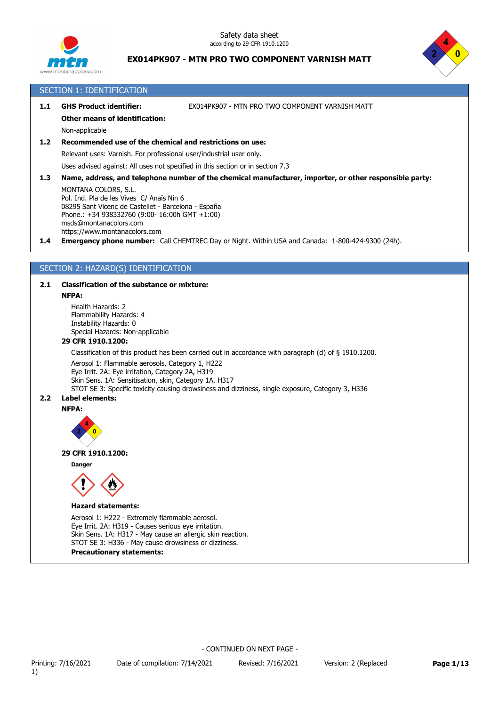



### SECTION 1: IDENTIFICATION

**1.1 GHS Product identifier:** EX014PK907 - MTN PRO TWO COMPONENT VARNISH MATT

#### **Other means of identification:**

Non-applicable

### **1.2 Recommended use of the chemical and restrictions on use:**

Relevant uses: Varnish. For professional user/industrial user only.

Uses advised against: All uses not specified in this section or in section 7.3

**1.3 Name, address, and telephone number of the chemical manufacturer, importer, or other responsible party:**

MONTANA COLORS, S.L. Pol. Ind. Pla de les Vives C/ Anaïs Nin 6 08295 Sant Vicenç de Castellet - Barcelona - España Phone.: +34 938332760 (9:00- 16:00h GMT +1:00) msds@montanacolors.com https://www.montanacolors.com

**1.4 Emergency phone number:** Call CHEMTREC Day or Night. Within USA and Canada: 1-800-424-9300 (24h).

### SECTION 2: HAZARD(S) IDENTIFICATION

#### **2.1 Classification of the substance or mixture:**

#### **NFPA:**

Health Hazards: 2 Flammability Hazards: 4 Instability Hazards: 0 Special Hazards: Non-applicable

### **29 CFR 1910.1200:**

Classification of this product has been carried out in accordance with paragraph (d) of § 1910.1200.

Aerosol 1: Flammable aerosols, Category 1, H222

Eye Irrit. 2A: Eye irritation, Category 2A, H319

Skin Sens. 1A: Sensitisation, skin, Category 1A, H317

STOT SE 3: Specific toxicity causing drowsiness and dizziness, single exposure, Category 3, H336

### **2.2 Label elements:**





#### **29 CFR 1910.1200:**

**Danger**



#### **Hazard statements:**

Aerosol 1: H222 - Extremely flammable aerosol. Eye Irrit. 2A: H319 - Causes serious eye irritation. Skin Sens. 1A: H317 - May cause an allergic skin reaction. STOT SE 3: H336 - May cause drowsiness or dizziness.

#### **Precautionary statements:**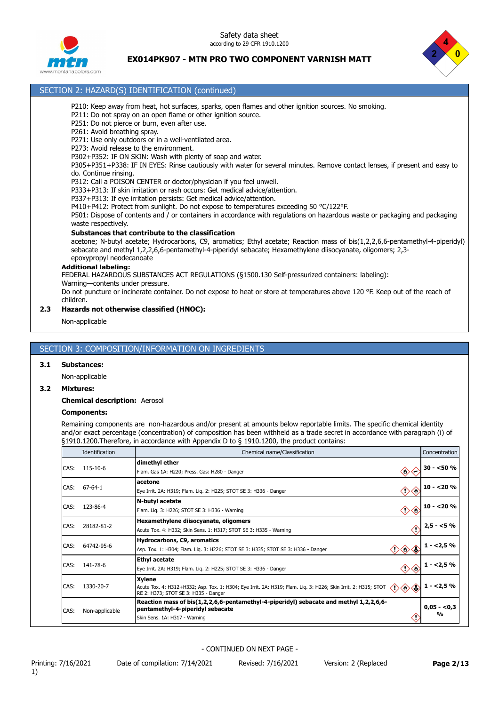Safety data sheet according to 29 CFR 1910.1200



### **EX014PK907 - MTN PRO TWO COMPONENT VARNISH MATT**



- P210: Keep away from heat, hot surfaces, sparks, open flames and other ignition sources. No smoking.
	- P211: Do not spray on an open flame or other ignition source.
	- P251: Do not pierce or burn, even after use.

SECTION 2: HAZARD(S) IDENTIFICATION (continued)

- P261: Avoid breathing spray.
- P271: Use only outdoors or in a well-ventilated area.
- P273: Avoid release to the environment.
- P302+P352: IF ON SKIN: Wash with plenty of soap and water .

P305+P351+P338: IF IN EYES: Rinse cautiously with water for several minutes. Remove contact lenses, if present and easy to do. Continue rinsing.

- P312: Call a POISON CENTER or doctor/physician if you feel unwell.
- P333+P313: If skin irritation or rash occurs: Get medical advice/attention.
- P337+P313: If eye irritation persists: Get medical advice/attention.
- P410+P412: Protect from sunlight. Do not expose to temperatures exceeding 50 °C/122°F.

P501: Dispose of contents and / or containers in accordance with regulations on hazardous waste or packaging and packaging waste respectively.

#### **Substances that contribute to the classification**

acetone; N-butyl acetate; Hydrocarbons, C9, aromatics; Ethyl acetate; Reaction mass of bis(1,2,2,6,6-pentamethyl-4-piperidyl) sebacate and methyl 1,2,2,6,6-pentamethyl-4-piperidyl sebacate; Hexamethylene diisocyanate, oligomers; 2,3 epoxypropyl neodecanoate

#### **Additional labeling:**

FEDERAL HAZARDOUS SUBSTANCES ACT REGULATIONS (§1500.130 Self-pressurized containers: labeling):

Warning—contents under pressure.

Do not puncture or incinerate container. Do not expose to heat or store at temperatures above 120 °F. Keep out of the reach of children.

### **2.3 Hazards not otherwise classified (HNOC):**

Non-applicable

### SECTION 3: COMPOSITION/INFORMATION ON INGREDIENTS

### **3.1 Substances:**

Non-applicable

### **3.2 Mixtures:**

**Chemical description:** Aerosol

### **Components:**

Remaining components are non-hazardous and/or present at amounts below reportable limits. The specific chemical identity and/or exact percentage (concentration) of composition has been withheld as a trade secret in accordance with paragraph (i) of §1910.1200.Therefore, in accordance with Appendix D to § 1910.1200, the product contains:

|      | Identification | Chemical name/Classification                                                                                                                                                   | Concentration                 |
|------|----------------|--------------------------------------------------------------------------------------------------------------------------------------------------------------------------------|-------------------------------|
| CAS: | 115-10-6       | dimethyl ether<br>$\langle \rangle$<br>Flam. Gas 1A: H220; Press. Gas: H280 - Danger                                                                                           | $30 - 50 \%$                  |
| CAS: | 67-64-1        | acetone<br><br>Eye Irrit. 2A: H319; Flam. Lig. 2: H225; STOT SE 3: H336 - Danger                                                                                               | $10 - 20%$                    |
| CAS: | 123-86-4       | N-butyl acetate<br>◇◇<br>Flam. Lig. 3: H226; STOT SE 3: H336 - Warning                                                                                                         | $10 - 20%$                    |
| CAS: | 28182-81-2     | Hexamethylene diisocyanate, oligomers<br>Acute Tox. 4: H332; Skin Sens. 1: H317; STOT SE 3: H335 - Warning                                                                     | $2,5 - 5%$                    |
| CAS: | 64742-95-6     | Hydrocarbons, C9, aromatics<br>$\langle \cdot \rangle \langle \rangle$<br>Asp. Tox. 1: H304; Flam. Lig. 3: H226; STOT SE 3: H335; STOT SE 3: H336 - Danger                     | $1 - 2,5%$                    |
| CAS: | 141-78-6       | <b>Ethyl acetate</b><br>Eye Irrit. 2A: H319; Flam. Lig. 2: H225; STOT SE 3: H336 - Danger                                                                                      | $1 - 2,5%$                    |
| CAS: | 1330-20-7      | <b>Xylene</b><br>◇◇◇<br>Acute Tox. 4: H312+H332; Asp. Tox. 1: H304; Eye Irrit. 2A: H319; Flam. Liq. 3: H226; Skin Irrit. 2: H315; STOT<br>RE 2: H373; STOT SE 3: H335 - Danger | $1 - 2,5%$                    |
| CAS: | Non-applicable | Reaction mass of bis(1,2,2,6,6-pentamethyl-4-piperidyl) sebacate and methyl 1,2,2,6,6-<br>pentamethyl-4-piperidyl sebacate<br>Skin Sens. 1A: H317 - Warning                    | $0,05 - 0,3$<br>$\frac{0}{0}$ |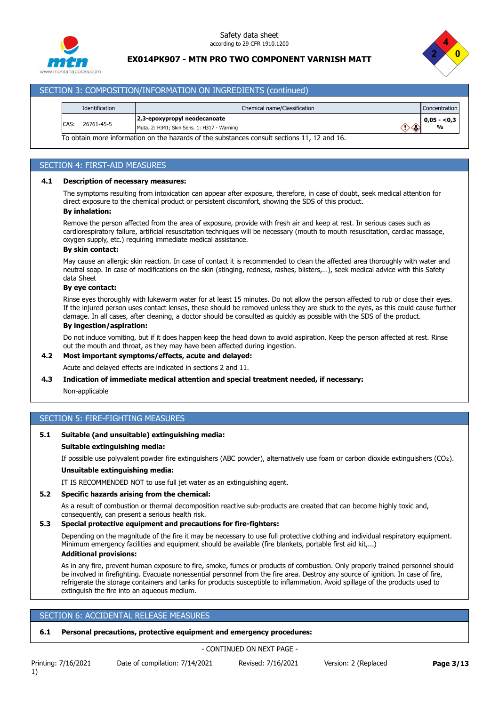



### SECTION 3: COMPOSITION/INFORMATION ON INGREDIENTS (continued)

|       | Identification | Chemical name/Classification                                                                |    | <b>Concentration</b> |
|-------|----------------|---------------------------------------------------------------------------------------------|----|----------------------|
|       |                | 2,3-epoxypropyl neodecanoate                                                                |    | $0.05 - 0.3$         |
| ICAS: | 26761-45-5     | Muta. 2: H341; Skin Sens. 1: H317 - Warning                                                 | つの | %                    |
|       |                | To obtain more information on the hazards of the substances consult sections 11, 12 and 16. |    |                      |

#### SECTION 4: FIRST-AID MEASURES

### **4.1 Description of necessary measures:**

The symptoms resulting from intoxication can appear after exposure, therefore, in case of doubt, seek medical attention for direct exposure to the chemical product or persistent discomfort, showing the SDS of this product.

#### **By inhalation:**

Remove the person affected from the area of exposure, provide with fresh air and keep at rest. In serious cases such as cardiorespiratory failure, artificial resuscitation techniques will be necessary (mouth to mouth resuscitation, cardiac massage, oxygen supply, etc.) requiring immediate medical assistance.

#### **By skin contact:**

May cause an allergic skin reaction. In case of contact it is recommended to clean the affected area thoroughly with water and neutral soap. In case of modifications on the skin (stinging, redness, rashes, blisters,…), seek medical advice with this Safety data Sheet

#### **By eye contact:**

Rinse eyes thoroughly with lukewarm water for at least 15 minutes. Do not allow the person affected to rub or close their eyes. If the injured person uses contact lenses, these should be removed unless they are stuck to the eyes, as this could cause further damage. In all cases, after cleaning, a doctor should be consulted as quickly as possible with the SDS of the product.

### **By ingestion/aspiration:**

Do not induce vomiting, but if it does happen keep the head down to avoid aspiration. Keep the person affected at rest. Rinse out the mouth and throat, as they may have been affected during ingestion.

### **4.2 Most important symptoms/effects, acute and delayed:**

Acute and delayed effects are indicated in sections 2 and 11.

### **4.3 Indication of immediate medical attention and special treatment needed, if necessary:**

Non-applicable

### SECTION 5: FIRE-FIGHTING MEASURES

### **5.1 Suitable (and unsuitable) extinguishing media:**

#### **Suitable extinguishing media:**

If possible use polyvalent powder fire extinguishers (ABC powder), alternatively use foam or carbon dioxide extinguishers (CO₂).

#### **Unsuitable extinguishing media:**

IT IS RECOMMENDED NOT to use full jet water as an extinguishing agent.

### **5.2 Specific hazards arising from the chemical:**

As a result of combustion or thermal decomposition reactive sub-products are created that can become highly toxic and, consequently, can present a serious health risk.

### **5.3 Special protective equipment and precautions for fire-fighters:**

Depending on the magnitude of the fire it may be necessary to use full protective clothing and individual respiratory equipment. Minimum emergency facilities and equipment should be available (fire blankets, portable first aid kit,...) **Additional provisions:**

As in any fire, prevent human exposure to fire, smoke, fumes or products of combustion. Only properly trained personnel should be involved in firefighting. Evacuate nonessential personnel from the fire area. Destroy any source of ignition. In case of fire, refrigerate the storage containers and tanks for products susceptible to inflammation. Avoid spillage of the products used to extinguish the fire into an aqueous medium.

### SECTION 6: ACCIDENTAL RELEASE MEASURES

### **6.1 Personal precautions, protective equipment and emergency procedures:**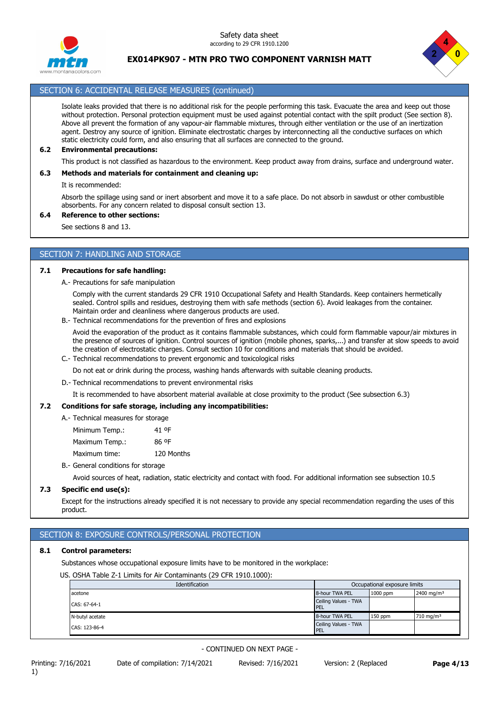Safety data sheet according to 29 CFR 1910.1200



**EX014PK907 - MTN PRO TWO COMPONENT VARNISH MATT**



### SECTION 6: ACCIDENTAL RELEASE MEASURES (continued)

Isolate leaks provided that there is no additional risk for the people performing this task. Evacuate the area and keep out those without protection. Personal protection equipment must be used against potential contact with the spilt product (See section 8). Above all prevent the formation of any vapour-air flammable mixtures, through either ventilation or the use of an inertization agent. Destroy any source of ignition. Eliminate electrostatic charges by interconnecting all the conductive surfaces on which static electricity could form, and also ensuring that all surfaces are connected to the ground.

#### **6.2 Environmental precautions:**

This product is not classified as hazardous to the environment. Keep product away from drains, surface and underground water.

#### **6.3 Methods and materials for containment and cleaning up:**

It is recommended:

Absorb the spillage using sand or inert absorbent and move it to a safe place. Do not absorb in sawdust or other combustible absorbents. For any concern related to disposal consult section 13.

### **6.4 Reference to other sections:**

See sections 8 and 13.

### SECTION 7: HANDLING AND STORAGE

#### **7.1 Precautions for safe handling:**

A.- Precautions for safe manipulation

Comply with the current standards 29 CFR 1910 Occupational Safety and Health Standards. Keep containers hermetically sealed. Control spills and residues, destroying them with safe methods (section 6). Avoid leakages from the container. Maintain order and cleanliness where dangerous products are used.

B.- Technical recommendations for the prevention of fires and explosions

Avoid the evaporation of the product as it contains flammable substances, which could form flammable vapour/air mixtures in the presence of sources of ignition. Control sources of ignition (mobile phones, sparks,...) and transfer at slow speeds to avoid the creation of electrostatic charges. Consult section 10 for conditions and materials that should be avoided.

C.- Technical recommendations to prevent ergonomic and toxicological risks

Do not eat or drink during the process, washing hands afterwards with suitable cleaning products.

D.- Technical recommendations to prevent environmental risks

It is recommended to have absorbent material available at close proximity to the product (See subsection 6.3)

### **7.2 Conditions for safe storage, including any incompatibilities:**

A.- Technical measures for storage

| Minimum Temp.: | 41 OF      |
|----------------|------------|
| Maximum Temp.: | 86 OF      |
| Maximum time:  | 120 Months |

### B.- General conditions for storage

Avoid sources of heat, radiation, static electricity and contact with food. For additional information see subsection 10.5

### **7.3 Specific end use(s):**

Except for the instructions already specified it is not necessary to provide any special recommendation regarding the uses of this product.

### SECTION 8: EXPOSURE CONTROLS/PERSONAL PROTECTION

### **8.1 Control parameters:**

Substances whose occupational exposure limits have to be monitored in the workplace:

US. OSHA Table Z-1 Limits for Air Contaminants (29 CFR 1910.1000):

| Identification  | Occupational exposure limits        |           |                         |
|-----------------|-------------------------------------|-----------|-------------------------|
| acetone         | 8-hour TWA PEL                      | 1000 ppm  | 2400 mg/m <sup>3</sup>  |
| CAS: 67-64-1    | Ceiling Values - TWA<br><b>IPEL</b> |           |                         |
| N-butyl acetate | 8-hour TWA PEL                      | $150$ ppm | $710$ mg/m <sup>3</sup> |
| CAS: 123-86-4   | Ceiling Values - TWA<br>PEL         |           |                         |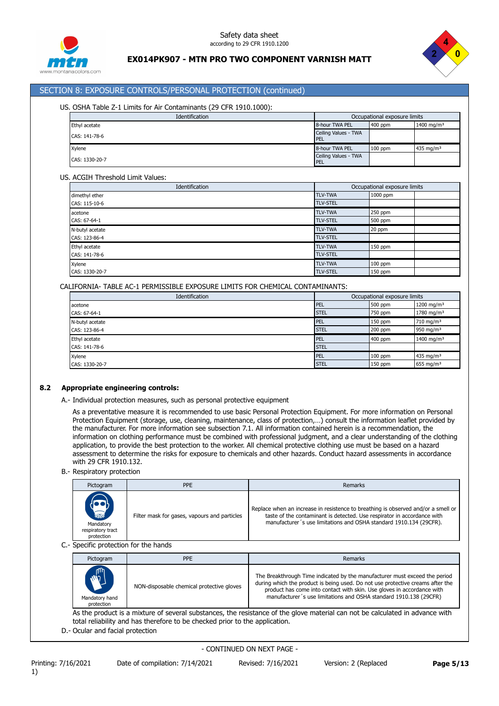



### SECTION 8: EXPOSURE CONTROLS/PERSONAL PROTECTION (continued)

### US. OSHA Table Z-1 Limits for Air Contaminants (29 CFR 1910.1000):

| Identification | Occupational exposure limits |           |                        |
|----------------|------------------------------|-----------|------------------------|
| Ethyl acetate  | 8-hour TWA PEL               | 400 ppm   | 1400 mg/m <sup>3</sup> |
| CAS: 141-78-6  | Ceiling Values - TWA<br>PEL  |           |                        |
| Xvlene         | 8-hour TWA PEL               | $100$ ppm | 435 mg/m $3$           |
| CAS: 1330-20-7 | Ceiling Values - TWA<br>PEL  |           |                        |

#### US. ACGIH Threshold Limit Values:

| Identification  |                 | Occupational exposure limits |
|-----------------|-----------------|------------------------------|
| dimethyl ether  | <b>TLV-TWA</b>  | 1000 ppm                     |
| CAS: 115-10-6   | <b>TLV-STEL</b> |                              |
| acetone         | <b>TLV-TWA</b>  | 250 ppm                      |
| CAS: 67-64-1    | <b>TLV-STEL</b> | 500 ppm                      |
| N-butyl acetate | <b>TLV-TWA</b>  | 20 ppm                       |
| CAS: 123-86-4   | <b>TLV-STEL</b> |                              |
| Ethyl acetate   | <b>TLV-TWA</b>  | 150 ppm                      |
| CAS: 141-78-6   | <b>TLV-STEL</b> |                              |
| Xylene          | <b>TLV-TWA</b>  | $100$ ppm                    |
| CAS: 1330-20-7  | <b>TLV-STEL</b> | 150 ppm                      |

CALIFORNIA- TABLE AC-1 PERMISSIBLE EXPOSURE LIMITS FOR CHEMICAL CONTAMINANTS:

| Identification  | Occupational exposure limits |           |                        |
|-----------------|------------------------------|-----------|------------------------|
| acetone         | PEL                          | 500 ppm   | 1200 mg/m <sup>3</sup> |
| CAS: 67-64-1    | <b>STEL</b>                  | 750 ppm   | 1780 mg/m <sup>3</sup> |
| N-butyl acetate | <b>PEL</b>                   | 150 ppm   | 710 mg/m <sup>3</sup>  |
| CAS: 123-86-4   | <b>STEL</b>                  | 200 ppm   | 950 mg/m $3$           |
| Ethyl acetate   | <b>PEL</b>                   | 400 ppm   | 1400 mg/m <sup>3</sup> |
| CAS: 141-78-6   | <b>STEL</b>                  |           |                        |
| Xylene          | <b>PEL</b>                   | $100$ ppm | 435 mg/m <sup>3</sup>  |
| CAS: 1330-20-7  | <b>STEL</b>                  | 150 ppm   | 655 mg/m $3$           |

### **8.2 Appropriate engineering controls:**

A.- Individual protection measures, such as personal protective equipment

As a preventative measure it is recommended to use basic Personal Protection Equipment. For more information on Personal Protection Equipment (storage, use, cleaning, maintenance, class of protection,...) consult the information leaflet provided by the manufacturer. For more information see subsection 7.1. All information contained herein is a recommendation, the information on clothing performance must be combined with professional judgment, and a clear understanding of the clothing application, to provide the best protection to the worker. All chemical protective clothing use must be based on a hazard assessment to determine the risks for exposure to chemicals and other hazards. Conduct hazard assessments in accordance with 29 CFR 1910.132.

B.- Respiratory protection

| Pictogram                                                    | <b>PPE</b>                                   | Remarks                                                                                                                                                                                                                            |
|--------------------------------------------------------------|----------------------------------------------|------------------------------------------------------------------------------------------------------------------------------------------------------------------------------------------------------------------------------------|
| $\sum_{n=0}$<br>Mandatory<br>respiratory tract<br>protection | Filter mask for gases, vapours and particles | Replace when an increase in resistence to breathing is observed and/or a smell or<br>taste of the contaminant is detected. Use respirator in accordance with<br>manufacturer's use limitations and OSHA standard 1910.134 (29CFR). |

C.- Specific protection for the hands

| Pictogram                                                      | <b>PPE</b>                                | Remarks                                                                                                                                                                                                                                                                                                     |
|----------------------------------------------------------------|-------------------------------------------|-------------------------------------------------------------------------------------------------------------------------------------------------------------------------------------------------------------------------------------------------------------------------------------------------------------|
| <b>AND</b><br>$\blacktriangle$<br>Mandatory hand<br>protection | NON-disposable chemical protective gloves | The Breakthrough Time indicated by the manufacturer must exceed the period<br>during which the product is being used. Do not use protective creams after the<br>product has come into contact with skin. Use gloves in accordance with<br>manufacturer's use limitations and OSHA standard 1910.138 (29CFR) |

As the product is a mixture of several substances, the resistance of the glove material can not be calculated in advance with total reliability and has therefore to be checked prior to the application.

D.- Ocular and facial protection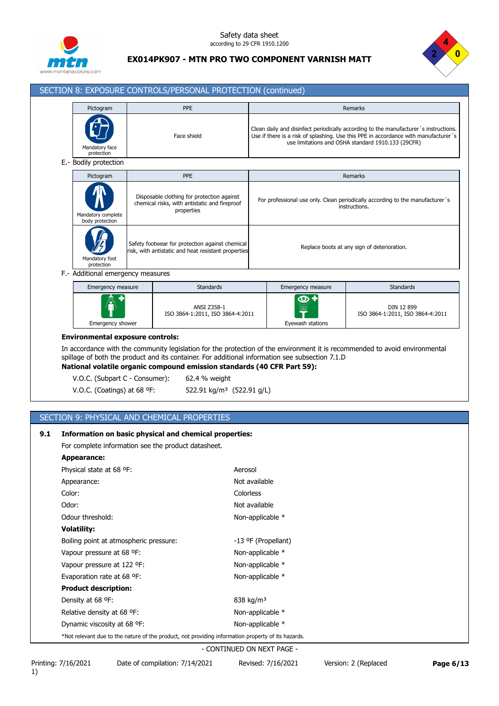



# SECTION 8: EXPOSURE CONTROLS/PERSONAL PROTECTION (continued)

|     | Pictogram<br>Mandatory face<br>protection                     |                                                                                                        | <b>PPE</b><br>Clean daily and disinfect periodically according to the manufacturer's instructions.<br>Use if there is a risk of splashing. Use this PPE in accordance with manufacturer's<br>Face shield<br>use limitations and OSHA standard 1910.133 (29CFR) |                                             | Remarks                                                                                        |                                                                                                                             |  |
|-----|---------------------------------------------------------------|--------------------------------------------------------------------------------------------------------|----------------------------------------------------------------------------------------------------------------------------------------------------------------------------------------------------------------------------------------------------------------|---------------------------------------------|------------------------------------------------------------------------------------------------|-----------------------------------------------------------------------------------------------------------------------------|--|
|     |                                                               |                                                                                                        |                                                                                                                                                                                                                                                                |                                             |                                                                                                |                                                                                                                             |  |
|     | E.- Bodily protection                                         |                                                                                                        |                                                                                                                                                                                                                                                                |                                             |                                                                                                |                                                                                                                             |  |
|     | Pictogram                                                     |                                                                                                        | <b>PPE</b>                                                                                                                                                                                                                                                     | <b>Remarks</b>                              |                                                                                                |                                                                                                                             |  |
|     | Mandatory complete<br>body protection                         |                                                                                                        | Disposable clothing for protection against<br>chemical risks, with antistatic and fireproof<br>properties                                                                                                                                                      |                                             | For professional use only. Clean periodically according to the manufacturer's<br>instructions. |                                                                                                                             |  |
|     | Mandatory foot<br>protection                                  | Safety footwear for protection against chemical<br>risk, with antistatic and heat resistant properties |                                                                                                                                                                                                                                                                | Replace boots at any sign of deterioration. |                                                                                                |                                                                                                                             |  |
|     | F.- Additional emergency measures                             |                                                                                                        |                                                                                                                                                                                                                                                                |                                             |                                                                                                |                                                                                                                             |  |
|     | Emergency measure                                             |                                                                                                        | <b>Standards</b>                                                                                                                                                                                                                                               |                                             | Emergency measure                                                                              | Standards                                                                                                                   |  |
|     | Emergency shower                                              |                                                                                                        | ANSI Z358-1<br>ISO 3864-1:2011, ISO 3864-4:2011                                                                                                                                                                                                                |                                             | ဏ<br>Eyewash stations                                                                          | DIN 12 899<br>ISO 3864-1:2011, ISO 3864-4:2011                                                                              |  |
|     | V.O.C. (Subpart C - Consumer):<br>V.O.C. (Coatings) at 68 °F: |                                                                                                        | spillage of both the product and its container. For additional information see subsection 7.1.D<br>National volatile organic compound emission standards (40 CFR Part 59):<br>62.4 % weight<br>522.91 kg/m <sup>3</sup> (522.91 g/L)                           |                                             |                                                                                                | In accordance with the community legislation for the protection of the environment it is recommended to avoid environmental |  |
| 9.1 |                                                               |                                                                                                        | SECTION 9: PHYSICAL AND CHEMICAL PROPERTIES<br>Information on basic physical and chemical properties:                                                                                                                                                          |                                             |                                                                                                |                                                                                                                             |  |
|     |                                                               |                                                                                                        | For complete information see the product datasheet.                                                                                                                                                                                                            |                                             |                                                                                                |                                                                                                                             |  |
|     | <b>Appearance:</b>                                            |                                                                                                        |                                                                                                                                                                                                                                                                |                                             |                                                                                                |                                                                                                                             |  |
|     | Physical state at 68 °F:                                      |                                                                                                        | Aerosol                                                                                                                                                                                                                                                        |                                             |                                                                                                |                                                                                                                             |  |
|     | Appearance:                                                   |                                                                                                        |                                                                                                                                                                                                                                                                | Not available                               |                                                                                                |                                                                                                                             |  |
|     | Color:                                                        |                                                                                                        |                                                                                                                                                                                                                                                                | Colorless                                   |                                                                                                |                                                                                                                             |  |
|     | Odor:                                                         |                                                                                                        |                                                                                                                                                                                                                                                                | Not available                               |                                                                                                |                                                                                                                             |  |
|     | Odour threshold:                                              |                                                                                                        |                                                                                                                                                                                                                                                                | Non-applicable *                            |                                                                                                |                                                                                                                             |  |
|     | <b>Volatility:</b>                                            |                                                                                                        |                                                                                                                                                                                                                                                                |                                             |                                                                                                |                                                                                                                             |  |
|     | Boiling point at atmospheric pressure:                        |                                                                                                        |                                                                                                                                                                                                                                                                | -13 ºF (Propellant)                         |                                                                                                |                                                                                                                             |  |
|     | Vapour pressure at 68 °F:                                     |                                                                                                        |                                                                                                                                                                                                                                                                | Non-applicable *                            |                                                                                                |                                                                                                                             |  |
|     | Vapour pressure at 122 °F:                                    |                                                                                                        |                                                                                                                                                                                                                                                                | Non-applicable *                            |                                                                                                |                                                                                                                             |  |
|     | Evaporation rate at 68 °F:                                    |                                                                                                        |                                                                                                                                                                                                                                                                | Non-applicable *                            |                                                                                                |                                                                                                                             |  |
|     | <b>Product description:</b>                                   |                                                                                                        |                                                                                                                                                                                                                                                                |                                             |                                                                                                |                                                                                                                             |  |
|     | Density at 68 °F:                                             |                                                                                                        |                                                                                                                                                                                                                                                                | 838 kg/m <sup>3</sup>                       |                                                                                                |                                                                                                                             |  |
|     | Relative density at 68 °F:<br>Dynamic viscosity at 68 °F:     |                                                                                                        |                                                                                                                                                                                                                                                                | Non-applicable *<br>Non-applicable *        |                                                                                                |                                                                                                                             |  |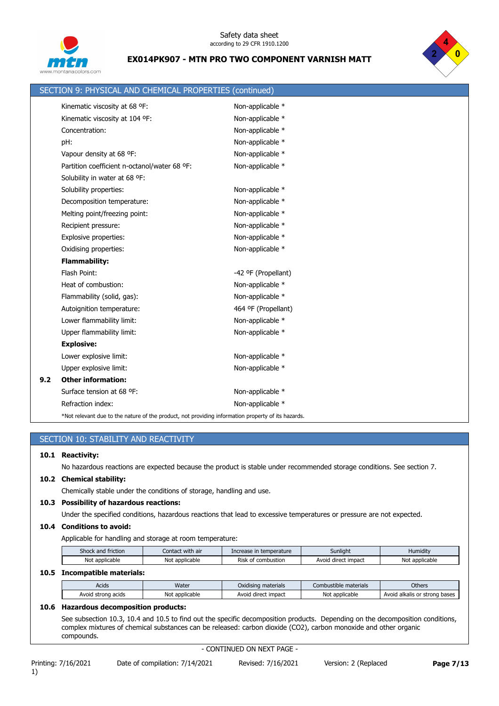



|     | SECTION 9: PHYSICAL AND CHEMICAL PROPERTIES (continued)                                            |                     |
|-----|----------------------------------------------------------------------------------------------------|---------------------|
|     | Kinematic viscosity at 68 °F:                                                                      | Non-applicable *    |
|     | Kinematic viscosity at 104 °F:                                                                     | Non-applicable *    |
|     | Concentration:                                                                                     | Non-applicable *    |
|     | pH:                                                                                                | Non-applicable *    |
|     | Vapour density at 68 °F:                                                                           | Non-applicable *    |
|     | Partition coefficient n-octanol/water 68 ºF:                                                       | Non-applicable *    |
|     | Solubility in water at 68 °F:                                                                      |                     |
|     | Solubility properties:                                                                             | Non-applicable *    |
|     | Decomposition temperature:                                                                         | Non-applicable *    |
|     | Melting point/freezing point:                                                                      | Non-applicable *    |
|     | Recipient pressure:                                                                                | Non-applicable *    |
|     | Explosive properties:                                                                              | Non-applicable *    |
|     | Oxidising properties:                                                                              | Non-applicable *    |
|     | <b>Flammability:</b>                                                                               |                     |
|     | Flash Point:                                                                                       | -42 ºF (Propellant) |
|     | Heat of combustion:                                                                                | Non-applicable *    |
|     | Flammability (solid, gas):                                                                         | Non-applicable *    |
|     | Autoignition temperature:                                                                          | 464 ºF (Propellant) |
|     | Lower flammability limit:                                                                          | Non-applicable *    |
|     | Upper flammability limit:                                                                          | Non-applicable *    |
|     | <b>Explosive:</b>                                                                                  |                     |
|     | Lower explosive limit:                                                                             | Non-applicable *    |
|     | Upper explosive limit:                                                                             | Non-applicable *    |
| 9.2 | <b>Other information:</b>                                                                          |                     |
|     | Surface tension at 68 °F:                                                                          | Non-applicable *    |
|     | Refraction index:                                                                                  | Non-applicable *    |
|     | *Not relevant due to the nature of the product, not providing information property of its hazards. |                     |

### SECTION 10: STABILITY AND REACTIVITY

### **10.1 Reactivity:**

No hazardous reactions are expected because the product is stable under recommended storage conditions. See section 7.

#### **10.2 Chemical stability:**

Chemically stable under the conditions of storage, handling and use.

### **10.3 Possibility of hazardous reactions:**

Under the specified conditions, hazardous reactions that lead to excessive temperatures or pressure are not expected.

### **10.4 Conditions to avoid:**

Applicable for handling and storage at room temperature:

| friction<br>Shock and | Contact with air               | in temperature<br>Increase | Sunlight            | Humidity       |
|-----------------------|--------------------------------|----------------------------|---------------------|----------------|
| Not applicable        | Not<br>applicable <sup>.</sup> | <b>Risk</b><br>combustion  | Avoid direct impact | Not applicable |

### **10.5 Incompatible materials:**

| Acids                 | Water               | $\cdots$<br>Oxidising materials | materials<br>Combustible. | Others                                  |
|-----------------------|---------------------|---------------------------------|---------------------------|-----------------------------------------|
| acids<br>Avoid strona | * applicable<br>Νοι | impact<br>Avoia<br>direct       | applicable<br>Not         | : strong bases<br>Avoid<br>, alkalis or |

### **10.6 Hazardous decomposition products:**

See subsection 10.3, 10.4 and 10.5 to find out the specific decomposition products. Depending on the decomposition conditions, complex mixtures of chemical substances can be released: carbon dioxide (CO2), carbon monoxide and other organic compounds.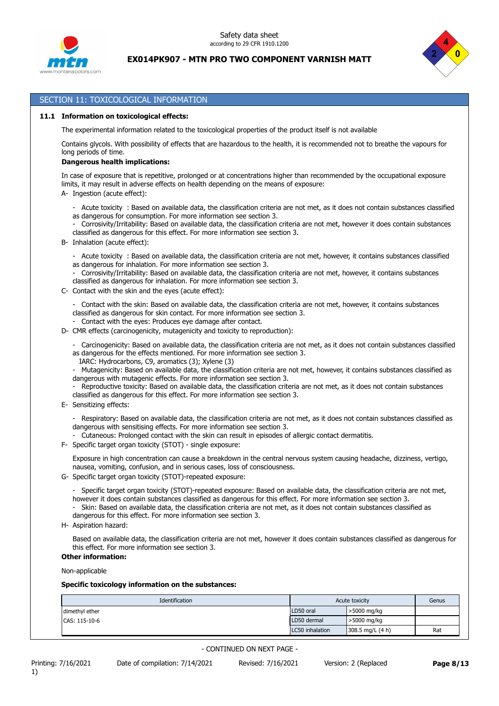



### SECTION 11: TOXICOLOGICAL INFORMATION

#### **11.1 Information on toxicological effects:**

The experimental information related to the toxicological properties of the product itself is not available

Contains glycols. With possibility of effects that are hazardous to the health, it is recommended not to breathe the vapours for long periods of time.

#### **Dangerous health implications:**

In case of exposure that is repetitive, prolonged or at concentrations higher than recommended by the occupational exposure limits, it may result in adverse effects on health depending on the means of exposure:

- A- Ingestion (acute effect):
	- Acute toxicity : Based on available data, the classification criteria are not met, as it does not contain substances classified as dangerous for consumption. For more information see section 3.
	- Corrosivity/Irritability: Based on available data, the classification criteria are not met, however it does contain substances classified as dangerous for this effect. For more information see section 3.
- B- Inhalation (acute effect):
	- Acute toxicity : Based on available data, the classification criteria are not met, however, it contains substances classified as dangerous for inhalation. For more information see section 3.
	- Corrosivity/Irritability: Based on available data, the classification criteria are not met, however, it contains substances classified as dangerous for inhalation. For more information see section 3.
- C- Contact with the skin and the eyes (acute effect):
	- Contact with the skin: Based on available data, the classification criteria are not met, however, it contains substances classified as dangerous for skin contact. For more information see section 3.
	- Contact with the eyes: Produces eye damage after contact.
- D- CMR effects (carcinogenicity, mutagenicity and toxicity to reproduction):
	- Carcinogenicity: Based on available data, the classification criteria are not met, as it does not contain substances classified as dangerous for the effects mentioned. For more information see section 3.
		- IARC: Hydrocarbons, C9, aromatics (3); Xylene (3)
	- Mutagenicity: Based on available data, the classification criteria are not met, however, it contains substances classified as dangerous with mutagenic effects. For more information see section 3.
	- Reproductive toxicity: Based on available data, the classification criteria are not met, as it does not contain substances classified as dangerous for this effect. For more information see section 3.
- E- Sensitizing effects:
	- Respiratory: Based on available data, the classification criteria are not met, as it does not contain substances classified as dangerous with sensitising effects. For more information see section 3.
	- Cutaneous: Prolonged contact with the skin can result in episodes of allergic contact dermatitis.
- F- Specific target organ toxicity (STOT) single exposure:

Exposure in high concentration can cause a breakdown in the central nervous system causing headache, dizziness, vertigo, nausea, vomiting, confusion, and in serious cases, loss of consciousness.

- G- Specific target organ toxicity (STOT)-repeated exposure:
	- Specific target organ toxicity (STOT)-repeated exposure: Based on available data, the classification criteria are not met, however it does contain substances classified as dangerous for this effect. For more information see section 3.
	- Skin: Based on available data, the classification criteria are not met, as it does not contain substances classified as dangerous for this effect. For more information see section 3.
- H- Aspiration hazard:

Based on available data, the classification criteria are not met, however it does contain substances classified as dangerous for this effect. For more information see section 3.

**Other information:**

Non-applicable

#### **Specific toxicology information on the substances:**

| Identification | Acute toxicity  | Genus            |     |
|----------------|-----------------|------------------|-----|
| dimethyl ether | LD50 oral       | >5000 mg/kg      |     |
| CAS: 115-10-6  | LD50 dermal     | >5000 mg/kg      |     |
|                | LC50 inhalation | 308.5 mg/L (4 h) | Rat |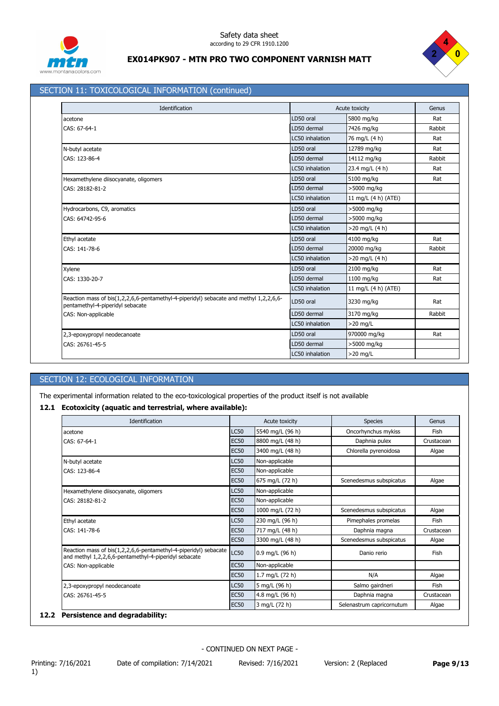



### SECTION 11: TOXICOLOGICAL INFORMATION (continued)

| Identification                                                                                                             |                 | Acute toxicity       | Genus  |
|----------------------------------------------------------------------------------------------------------------------------|-----------------|----------------------|--------|
| acetone                                                                                                                    | LD50 oral       | 5800 mg/kg           | Rat    |
| CAS: 67-64-1                                                                                                               | LD50 dermal     | 7426 mg/kg           | Rabbit |
|                                                                                                                            | LC50 inhalation | 76 mg/L (4 h)        | Rat    |
| N-butyl acetate                                                                                                            | LD50 oral       | 12789 mg/kg          | Rat    |
| CAS: 123-86-4                                                                                                              | LD50 dermal     | 14112 mg/kg          | Rabbit |
|                                                                                                                            | LC50 inhalation | 23.4 mg/L (4 h)      | Rat    |
| Hexamethylene diisocyanate, oligomers                                                                                      | LD50 oral       | 5100 mg/kg           | Rat    |
| CAS: 28182-81-2                                                                                                            | LD50 dermal     | >5000 mg/kg          |        |
|                                                                                                                            | LC50 inhalation | 11 mg/L (4 h) (ATEi) |        |
| Hydrocarbons, C9, aromatics                                                                                                | LD50 oral       | >5000 mg/kg          |        |
| CAS: 64742-95-6                                                                                                            | LD50 dermal     | >5000 mg/kg          |        |
|                                                                                                                            | LC50 inhalation | >20 mg/L (4 h)       |        |
| Ethyl acetate                                                                                                              | LD50 oral       | 4100 mg/kg           | Rat    |
| CAS: 141-78-6                                                                                                              | LD50 dermal     | 20000 mg/kg          | Rabbit |
|                                                                                                                            | LC50 inhalation | $>20$ mg/L (4 h)     |        |
| Xylene                                                                                                                     | LD50 oral       | 2100 mg/kg           | Rat    |
| CAS: 1330-20-7                                                                                                             | LD50 dermal     | 1100 mg/kg           | Rat    |
|                                                                                                                            | LC50 inhalation | 11 mg/L (4 h) (ATEi) |        |
| Reaction mass of bis(1,2,2,6,6-pentamethyl-4-piperidyl) sebacate and methyl 1,2,2,6,6-<br>pentamethyl-4-piperidyl sebacate | LD50 oral       | 3230 mg/kg           | Rat    |
| CAS: Non-applicable                                                                                                        | LD50 dermal     | 3170 mg/kg           | Rabbit |
|                                                                                                                            | LC50 inhalation | $>20$ mg/L           |        |
| 2,3-epoxypropyl neodecanoate                                                                                               | LD50 oral       | 970000 mg/kg         | Rat    |
| CAS: 26761-45-5                                                                                                            | LD50 dermal     | >5000 mg/kg          |        |
|                                                                                                                            | LC50 inhalation | $>20$ mg/L           |        |

### SECTION 12: ECOLOGICAL INFORMATION

The experimental information related to the eco-toxicological properties of the product itself is not available

### **12.1 Ecotoxicity (aquatic and terrestrial, where available):**

| Identification                                                                                                            | Acute toxicity |                   | <b>Species</b>            | Genus      |
|---------------------------------------------------------------------------------------------------------------------------|----------------|-------------------|---------------------------|------------|
| LC50<br>acetone                                                                                                           |                | 5540 mg/L (96 h)  | Oncorhynchus mykiss       | Fish       |
| CAS: 67-64-1                                                                                                              | <b>EC50</b>    | 8800 mg/L (48 h)  | Daphnia pulex             | Crustacean |
|                                                                                                                           | <b>EC50</b>    | 3400 mg/L (48 h)  | Chlorella pyrenoidosa     | Algae      |
| N-butyl acetate                                                                                                           | <b>LC50</b>    | Non-applicable    |                           |            |
| CAS: 123-86-4                                                                                                             | <b>EC50</b>    | Non-applicable    |                           |            |
|                                                                                                                           | <b>EC50</b>    | 675 mg/L (72 h)   | Scenedesmus subspicatus   | Algae      |
| Hexamethylene diisocyanate, oligomers                                                                                     | LC50           | Non-applicable    |                           |            |
| CAS: 28182-81-2                                                                                                           | <b>EC50</b>    | Non-applicable    |                           |            |
|                                                                                                                           | <b>EC50</b>    | 1000 mg/L (72 h)  | Scenedesmus subspicatus   | Algae      |
| Ethyl acetate                                                                                                             | LC50           | 230 mg/L (96 h)   | Pimephales promelas       | Fish       |
| CAS: 141-78-6                                                                                                             | <b>EC50</b>    | 717 mg/L (48 h)   | Daphnia magna             | Crustacean |
|                                                                                                                           | <b>EC50</b>    | 3300 mg/L (48 h)  | Scenedesmus subspicatus   | Algae      |
| Reaction mass of bis(1,2,2,6,6-pentamethyl-4-piperidyl) sebacate<br>and methyl 1,2,2,6,6-pentamethyl-4-piperidyl sebacate | <b>LC50</b>    | $0.9$ mg/L (96 h) | Danio rerio               | Fish       |
| CAS: Non-applicable                                                                                                       | <b>EC50</b>    | Non-applicable    |                           |            |
|                                                                                                                           | <b>EC50</b>    | 1.7 mg/L (72 h)   | N/A                       | Algae      |
| 2,3-epoxypropyl neodecanoate                                                                                              | LC50           | 5 mg/L (96 h)     | Salmo gairdneri           | Fish       |
| CAS: 26761-45-5                                                                                                           | <b>EC50</b>    | 4.8 mg/L (96 h)   | Daphnia magna             | Crustacean |
|                                                                                                                           | <b>EC50</b>    | 3 mg/L (72 h)     | Selenastrum capricornutum | Algae      |

### **12.2 Persistence and degradability:**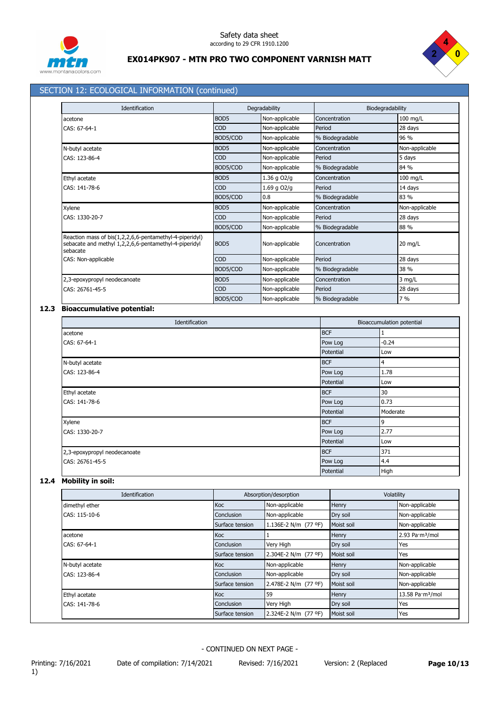



### SECTION 12: ECOLOGICAL INFORMATION (continued)

| Identification                                                                                                               |                  | Degradability  | Biodegradability |                |
|------------------------------------------------------------------------------------------------------------------------------|------------------|----------------|------------------|----------------|
| acetone                                                                                                                      | BOD <sub>5</sub> | Non-applicable | Concentration    | 100 mg/L       |
| CAS: 67-64-1                                                                                                                 | <b>COD</b>       | Non-applicable | Period           | 28 days        |
|                                                                                                                              | BOD5/COD         | Non-applicable | % Biodegradable  | 96 %           |
| N-butyl acetate                                                                                                              | BOD <sub>5</sub> | Non-applicable | Concentration    | Non-applicable |
| CAS: 123-86-4                                                                                                                | <b>COD</b>       | Non-applicable | Period           | 5 days         |
|                                                                                                                              | BOD5/COD         | Non-applicable | % Biodegradable  | 84 %           |
| Ethyl acetate                                                                                                                | BOD <sub>5</sub> | 1.36 g O2/g    | Concentration    | $100$ mg/L     |
| CAS: 141-78-6                                                                                                                | <b>COD</b>       | 1.69 g O2/g    | Period           | 14 days        |
|                                                                                                                              | BOD5/COD         | 0.8            | % Biodegradable  | 83 %           |
| Xylene                                                                                                                       | BOD <sub>5</sub> | Non-applicable | Concentration    | Non-applicable |
| CAS: 1330-20-7                                                                                                               | <b>COD</b>       | Non-applicable | Period           | 28 days        |
|                                                                                                                              | BOD5/COD         | Non-applicable | % Biodegradable  | 88 %           |
| Reaction mass of bis(1,2,2,6,6-pentamethyl-4-piperidyl)<br>sebacate and methyl 1,2,2,6,6-pentamethyl-4-piperidyl<br>sebacate | BOD <sub>5</sub> | Non-applicable | Concentration    | 20 mg/L        |
| CAS: Non-applicable                                                                                                          | <b>COD</b>       | Non-applicable | Period           | 28 days        |
|                                                                                                                              | BOD5/COD         | Non-applicable | % Biodegradable  | 38 %           |
| 2,3-epoxypropyl neodecanoate                                                                                                 | BOD <sub>5</sub> | Non-applicable | Concentration    | $3$ mg/L       |
| CAS: 26761-45-5                                                                                                              | COD              | Non-applicable | Period           | 28 days        |
|                                                                                                                              | BOD5/COD         | Non-applicable | % Biodegradable  | 7%             |

### **12.3 Bioaccumulative potential:**

|                              | Identification |            | Bioaccumulation potential |
|------------------------------|----------------|------------|---------------------------|
| acetone                      |                | <b>BCF</b> | 1                         |
| CAS: 67-64-1                 | Pow Log        |            | $-0.24$                   |
|                              |                | Potential  | Low                       |
| N-butyl acetate              |                | <b>BCF</b> | 4                         |
| CAS: 123-86-4                |                | Pow Log    | 1.78                      |
|                              |                | Potential  | Low                       |
| Ethyl acetate                |                | <b>BCF</b> | 30                        |
| CAS: 141-78-6                |                | Pow Log    | 0.73                      |
|                              |                | Potential  | Moderate                  |
| Xylene                       |                | <b>BCF</b> | 9                         |
| CAS: 1330-20-7               |                | Pow Log    | 2.77                      |
|                              |                | Potential  | Low                       |
| 2,3-epoxypropyl neodecanoate |                | <b>BCF</b> | 371                       |
| CAS: 26761-45-5              |                | Pow Log    | 4.4                       |
|                              |                | Potential  | High                      |

## **12.4 Mobility in soil:**

| Identification  | Absorption/desorption |                      | Volatility |                              |
|-----------------|-----------------------|----------------------|------------|------------------------------|
| dimethyl ether  | <b>Koc</b>            | Non-applicable       | Henry      | Non-applicable               |
| CAS: 115-10-6   | Conclusion            | Non-applicable       | Dry soil   | Non-applicable               |
|                 | Surface tension       | 1.136E-2 N/m (77 °F) | Moist soil | Non-applicable               |
| acetone         | <b>Koc</b>            |                      | Henry      | 2.93 Pa·m <sup>3</sup> /mol  |
| CAS: 67-64-1    | Conclusion            | Very High            | Dry soil   | Yes                          |
|                 | Surface tension       | 2.304E-2 N/m (77 °F) | Moist soil | Yes                          |
| N-butyl acetate | <b>Koc</b>            | Non-applicable       | Henry      | Non-applicable               |
| CAS: 123-86-4   | Conclusion            | Non-applicable       | Dry soil   | Non-applicable               |
|                 | Surface tension       | 2.478E-2 N/m (77 °F) | Moist soil | Non-applicable               |
| Ethyl acetate   | <b>Koc</b>            | 59                   | Henry      | 13.58 Pa·m <sup>3</sup> /mol |
| CAS: 141-78-6   | Conclusion            | Very High            | Dry soil   | Yes                          |
|                 | Surface tension       | 2.324E-2 N/m (77 °F) | Moist soil | Yes                          |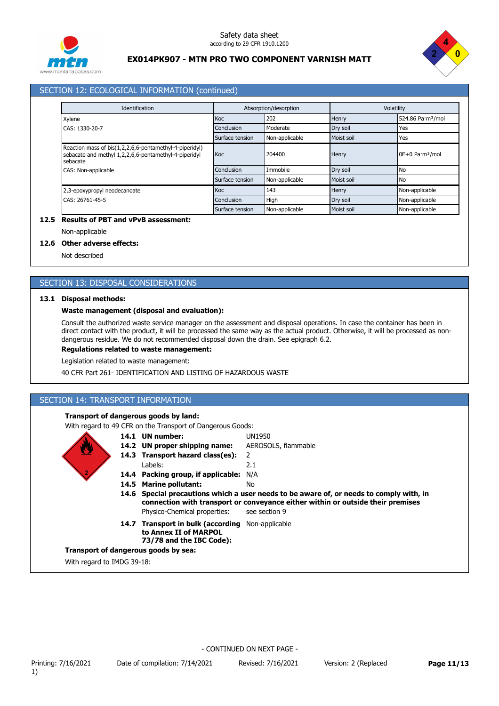



### SECTION 12: ECOLOGICAL INFORMATION (continued)

| Identification                                                                                                               |                 | Absorption/desorption |            | Volatility                    |  |
|------------------------------------------------------------------------------------------------------------------------------|-----------------|-----------------------|------------|-------------------------------|--|
| Xylene                                                                                                                       | Koc             | 202                   | Henry      | 524.86 Pa·m <sup>3</sup> /mol |  |
| CAS: 1330-20-7                                                                                                               | Conclusion      | Moderate              | Dry soil   | Yes                           |  |
|                                                                                                                              | Surface tension | Non-applicable        | Moist soil | Yes                           |  |
| Reaction mass of bis(1,2,2,6,6-pentamethyl-4-piperidyl)<br>sebacate and methyl 1,2,2,6,6-pentamethyl-4-piperidyl<br>sebacate | Koc             | 204400                | Henry      | 0E+0 Pa·m <sup>3</sup> /mol   |  |
| CAS: Non-applicable                                                                                                          | Conclusion      | Immobile              | Dry soil   | <b>No</b>                     |  |
|                                                                                                                              | Surface tension | Non-applicable        | Moist soil | <b>No</b>                     |  |
| 2,3-epoxypropyl neodecanoate                                                                                                 | Koc             | 143                   | Henry      | Non-applicable                |  |
| CAS: 26761-45-5                                                                                                              | Conclusion      | <b>High</b>           | Dry soil   | Non-applicable                |  |
|                                                                                                                              | Surface tension | Non-applicable        | Moist soil | Non-applicable                |  |

### **12.5 Results of PBT and vPvB assessment:**

### Non-applicable

### **12.6 Other adverse effects:**

Not described

### SECTION 13: DISPOSAL CONSIDERATIONS

### **13.1 Disposal methods:**

### **Waste management (disposal and evaluation):**

Consult the authorized waste service manager on the assessment and disposal operations. In case the container has been in direct contact with the product, it will be processed the same way as the actual product. Otherwise, it will be processed as nondangerous residue. We do not recommended disposal down the drain. See epigraph 6.2.

### **Regulations related to waste management:**

Legislation related to waste management:

40 CFR Part 261- IDENTIFICATION AND LISTING OF HAZARDOUS WASTE

### SECTION 14: TRANSPORT INFORMATION

### **Transport of dangerous goods by land:**

With regard to 49 CFR on the Transport of Dangerous Goods:

- **14.1 UN number:** UN1950
- **14.2 UN proper shipping name:** AEROSOLS, flammable
- **14.3 Transport hazard class(es):** 2
	- Labels: 2.1
- **14.4 Packing group, if applicable:** N/A
- **14.5 Marine pollutant:** No
- **14.6 Special precautions which a user needs to be aware of, or needs to comply with, in** Physico-Chemical properties: see section 9 **connection with transport or conveyance either within or outside their premises**
- 14.7 Transport in bulk (according Non-applicable **to Annex II of MARPOL 73/78 and the IBC Code):**

#### **Transport of dangerous goods by sea:**

With regard to IMDG 39-18: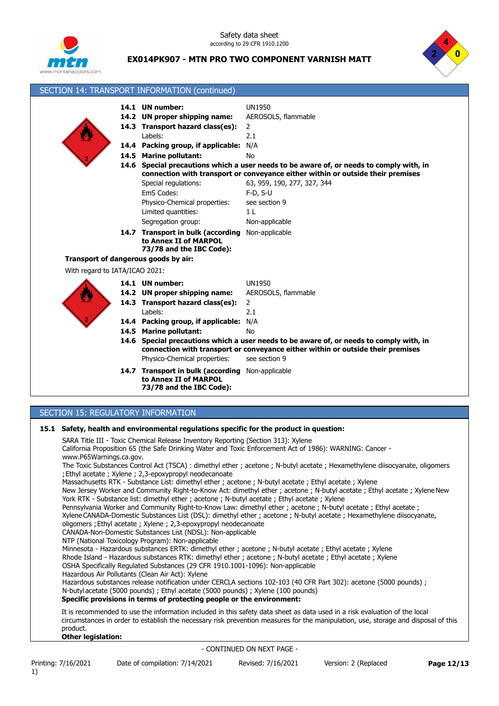

Safety data sheet according to 29 CFR 1910.1200



### **EX014PK907 - MTN PRO TWO COMPONENT VARNISH MATT**

|                                                                                                                                                                                                                                                                                                                                                                                                                                                                                                                                                                                                                           | SECTION 14: TRANSPORT INFORMATION (continued)                                                                                         |                                                                                                                                                                                                          |  |  |
|---------------------------------------------------------------------------------------------------------------------------------------------------------------------------------------------------------------------------------------------------------------------------------------------------------------------------------------------------------------------------------------------------------------------------------------------------------------------------------------------------------------------------------------------------------------------------------------------------------------------------|---------------------------------------------------------------------------------------------------------------------------------------|----------------------------------------------------------------------------------------------------------------------------------------------------------------------------------------------------------|--|--|
|                                                                                                                                                                                                                                                                                                                                                                                                                                                                                                                                                                                                                           | 14.1 UN number:<br>14.2 UN proper shipping name:<br>14.3 Transport hazard class(es):<br>Labels:<br>14.4 Packing group, if applicable: | <b>UN1950</b><br>AEROSOLS, flammable<br>2<br>2.1<br>N/A                                                                                                                                                  |  |  |
|                                                                                                                                                                                                                                                                                                                                                                                                                                                                                                                                                                                                                           | 14.5 Marine pollutant:                                                                                                                | No<br>14.6 Special precautions which a user needs to be aware of, or needs to comply with, in                                                                                                            |  |  |
|                                                                                                                                                                                                                                                                                                                                                                                                                                                                                                                                                                                                                           | Special regulations:<br>EmS Codes:<br>Physico-Chemical properties:<br>Limited quantities:<br>Segregation group:                       | connection with transport or conveyance either within or outside their premises<br>63, 959, 190, 277, 327, 344<br>$F-D, S-U$<br>see section 9<br>1 <sub>L</sub><br>Non-applicable                        |  |  |
|                                                                                                                                                                                                                                                                                                                                                                                                                                                                                                                                                                                                                           | 14.7 Transport in bulk (according<br>to Annex II of MARPOL<br>73/78 and the IBC Code):                                                | Non-applicable                                                                                                                                                                                           |  |  |
|                                                                                                                                                                                                                                                                                                                                                                                                                                                                                                                                                                                                                           | Transport of dangerous goods by air:                                                                                                  |                                                                                                                                                                                                          |  |  |
| With regard to IATA/ICAO 2021:                                                                                                                                                                                                                                                                                                                                                                                                                                                                                                                                                                                            |                                                                                                                                       |                                                                                                                                                                                                          |  |  |
|                                                                                                                                                                                                                                                                                                                                                                                                                                                                                                                                                                                                                           | 14.1 UN number:<br>14.2 UN proper shipping name:<br>14.3 Transport hazard class(es):<br>Labels:                                       | <b>UN1950</b><br>AEROSOLS, flammable<br>$\overline{2}$<br>2.1                                                                                                                                            |  |  |
|                                                                                                                                                                                                                                                                                                                                                                                                                                                                                                                                                                                                                           | 14.4 Packing group, if applicable:                                                                                                    | N/A                                                                                                                                                                                                      |  |  |
|                                                                                                                                                                                                                                                                                                                                                                                                                                                                                                                                                                                                                           | 14.5 Marine pollutant:<br>Physico-Chemical properties:                                                                                | <b>No</b><br>14.6 Special precautions which a user needs to be aware of, or needs to comply with, in<br>connection with transport or conveyance either within or outside their premises<br>see section 9 |  |  |
|                                                                                                                                                                                                                                                                                                                                                                                                                                                                                                                                                                                                                           | 14.7 Transport in bulk (according Non-applicable<br>to Annex II of MARPOL<br>73/78 and the IBC Code):                                 |                                                                                                                                                                                                          |  |  |
|                                                                                                                                                                                                                                                                                                                                                                                                                                                                                                                                                                                                                           |                                                                                                                                       |                                                                                                                                                                                                          |  |  |
| SECTION 15: REGULATORY INFORMATION                                                                                                                                                                                                                                                                                                                                                                                                                                                                                                                                                                                        |                                                                                                                                       |                                                                                                                                                                                                          |  |  |
| 15.1 Safety, health and environmental regulations specific for the product in question:<br>SARA Title III - Toxic Chemical Release Inventory Reporting (Section 313): Xylene<br>California Proposition 65 (the Safe Drinking Water and Toxic Enforcement Act of 1986): WARNING: Cancer -<br>www.P65Warnings.ca.gov.<br>The Toxic Substances Control Act (TSCA) : dimethyl ether ; acetone ; N-butyl acetate ; Hexamethylene diisocyanate, oligomers<br>; Ethyl acetate ; Xylene ; 2,3-epoxypropyl neodecanoate<br>Massachusetts RTK - Substance List: dimethyl ether ; acetone ; N-butyl acetate ; Ethyl acetate ; Xylene |                                                                                                                                       |                                                                                                                                                                                                          |  |  |

New Jersey Worker and Community Right-to-Know Act: dimethyl ether ; acetone ; N-butyl acetate ; Ethyl acetate ; XyleneNew York RTK - Substance list: dimethyl ether ; acetone ; N-butyl acetate ; Ethyl acetate ; Xylene

Pennsylvania Worker and Community Right-to-Know Law: dimethyl ether ; acetone ; N-butyl acetate ; Ethyl acetate ; XyleneCANADA-Domestic Substances List (DSL): dimethyl ether ; acetone ; N-butyl acetate ; Hexamethylene diisocyanate, oligomers ;Ethyl acetate ; Xylene ; 2,3-epoxypropyl neodecanoate

CANADA-Non-Domestic Substances List (NDSL): Non-applicable

NTP (National Toxicology Program): Non-applicable

Minnesota - Hazardous substances ERTK: dimethyl ether ; acetone ; N-butyl acetate ; Ethyl acetate ; Xylene Rhode Island - Hazardous substances RTK: dimethyl ether ; acetone ; N-butyl acetate ; Ethyl acetate ; Xylene

OSHA Specifically Regulated Substances (29 CFR 1910.1001-1096): Non-applicable

Hazardous Air Pollutants (Clean Air Act): Xylene

Hazardous substances release notification under CERCLA sections 102-103 (40 CFR Part 302): acetone (5000 pounds) ; N-butylacetate (5000 pounds) ; Ethyl acetate (5000 pounds) ; Xylene (100 pounds)

**Specific provisions in terms of protecting people or the environment:**

It is recommended to use the information included in this safety data sheet as data used in a risk evaluation of the local circumstances in order to establish the necessary risk prevention measures for the manipulation, use, storage and disposal of this product.

### **Other legislation:**